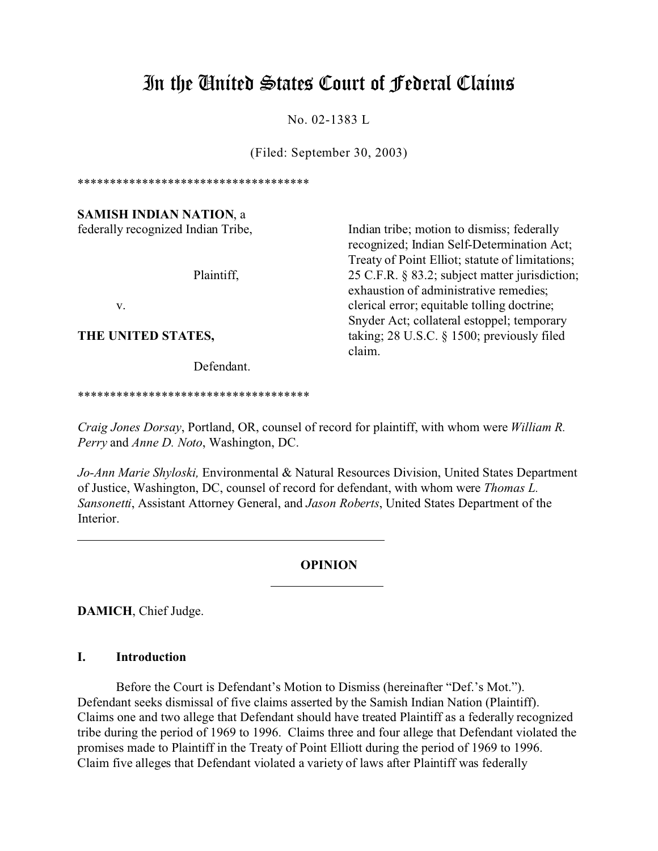# In the United States Court of Federal Claims

No. 02-1383 L

(Filed: September 30, 2003)

\*\*\*\*\*\*\*\*\*\*\*\*\*\*\*\*\*\*\*\*\*\*\*\*\*\*\*\*\*\*\*\*\*\*\*\*

**SAMISH INDIAN NATION**, a

Defendant.

\*\*\*\*\*\*\*\*\*\*\*\*\*\*\*\*\*\*\*\*\*\*\*\*\*\*\*\*\*\*\*\*\*\*\*\*

federally recognized Indian Tribe, Indian tribe; motion to dismiss; federally recognized; Indian Self-Determination Act; Treaty of Point Elliot; statute of limitations; Plaintiff, 25 C.F.R. § 83.2; subject matter jurisdiction; exhaustion of administrative remedies; v. elerical error; equitable tolling doctrine; Snyder Act; collateral estoppel; temporary **THE UNITED STATES,** taking; 28 U.S.C. § 1500; previously filed claim.

*Craig Jones Dorsay*, Portland, OR, counsel of record for plaintiff, with whom were *William R. Perry* and *Anne D. Noto*, Washington, DC.

*Jo-Ann Marie Shyloski,* Environmental & Natural Resources Division, United States Department of Justice, Washington, DC, counsel of record for defendant, with whom were *Thomas L. Sansonetti*, Assistant Attorney General, and *Jason Roberts*, United States Department of the **Interior** 

## **OPINION**

 $\overline{a}$ 

**DAMICH**, Chief Judge.

## **I. Introduction**

Before the Court is Defendant's Motion to Dismiss (hereinafter "Def.'s Mot."). Defendant seeks dismissal of five claims asserted by the Samish Indian Nation (Plaintiff). Claims one and two allege that Defendant should have treated Plaintiff as a federally recognized tribe during the period of 1969 to 1996. Claims three and four allege that Defendant violated the promises made to Plaintiff in the Treaty of Point Elliott during the period of 1969 to 1996. Claim five alleges that Defendant violated a variety of laws after Plaintiff was federally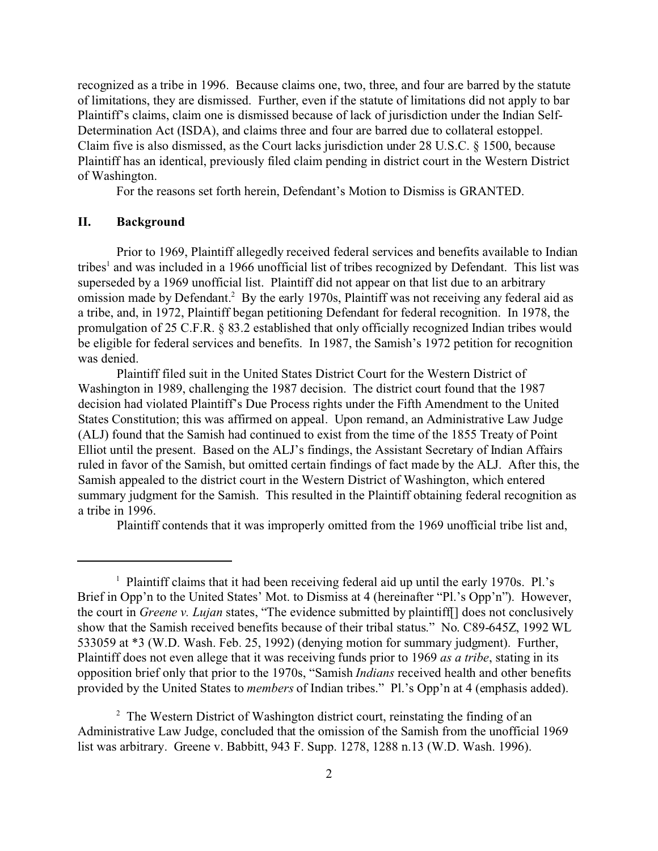recognized as a tribe in 1996. Because claims one, two, three, and four are barred by the statute of limitations, they are dismissed. Further, even if the statute of limitations did not apply to bar Plaintiff's claims, claim one is dismissed because of lack of jurisdiction under the Indian Self-Determination Act (ISDA), and claims three and four are barred due to collateral estoppel. Claim five is also dismissed, as the Court lacks jurisdiction under 28 U.S.C. § 1500, because Plaintiff has an identical, previously filed claim pending in district court in the Western District of Washington.

For the reasons set forth herein, Defendant's Motion to Dismiss is GRANTED.

#### **II. Background**

Prior to 1969, Plaintiff allegedly received federal services and benefits available to Indian tribes<sup>1</sup> and was included in a 1966 unofficial list of tribes recognized by Defendant. This list was superseded by a 1969 unofficial list. Plaintiff did not appear on that list due to an arbitrary omission made by Defendant.<sup>2</sup> By the early 1970s, Plaintiff was not receiving any federal aid as a tribe, and, in 1972, Plaintiff began petitioning Defendant for federal recognition. In 1978, the promulgation of 25 C.F.R. § 83.2 established that only officially recognized Indian tribes would be eligible for federal services and benefits. In 1987, the Samish's 1972 petition for recognition was denied.

Plaintiff filed suit in the United States District Court for the Western District of Washington in 1989, challenging the 1987 decision. The district court found that the 1987 decision had violated Plaintiff's Due Process rights under the Fifth Amendment to the United States Constitution; this was affirmed on appeal. Upon remand, an Administrative Law Judge (ALJ) found that the Samish had continued to exist from the time of the 1855 Treaty of Point Elliot until the present. Based on the ALJ's findings, the Assistant Secretary of Indian Affairs ruled in favor of the Samish, but omitted certain findings of fact made by the ALJ. After this, the Samish appealed to the district court in the Western District of Washington, which entered summary judgment for the Samish. This resulted in the Plaintiff obtaining federal recognition as a tribe in 1996.

Plaintiff contends that it was improperly omitted from the 1969 unofficial tribe list and,

<sup>&</sup>lt;sup>1</sup> Plaintiff claims that it had been receiving federal aid up until the early 1970s. Pl.'s Brief in Opp'n to the United States' Mot. to Dismiss at 4 (hereinafter "Pl.'s Opp'n"). However, the court in *Greene v. Lujan* states, "The evidence submitted by plaintiff[] does not conclusively show that the Samish received benefits because of their tribal status." No. C89-645Z, 1992 WL 533059 at \*3 (W.D. Wash. Feb. 25, 1992) (denying motion for summary judgment). Further, Plaintiff does not even allege that it was receiving funds prior to 1969 *as a tribe*, stating in its opposition brief only that prior to the 1970s, "Samish *Indians* received health and other benefits provided by the United States to *members* of Indian tribes." Pl.'s Opp'n at 4 (emphasis added).

<sup>&</sup>lt;sup>2</sup> The Western District of Washington district court, reinstating the finding of an Administrative Law Judge, concluded that the omission of the Samish from the unofficial 1969 list was arbitrary. Greene v. Babbitt, 943 F. Supp. 1278, 1288 n.13 (W.D. Wash. 1996).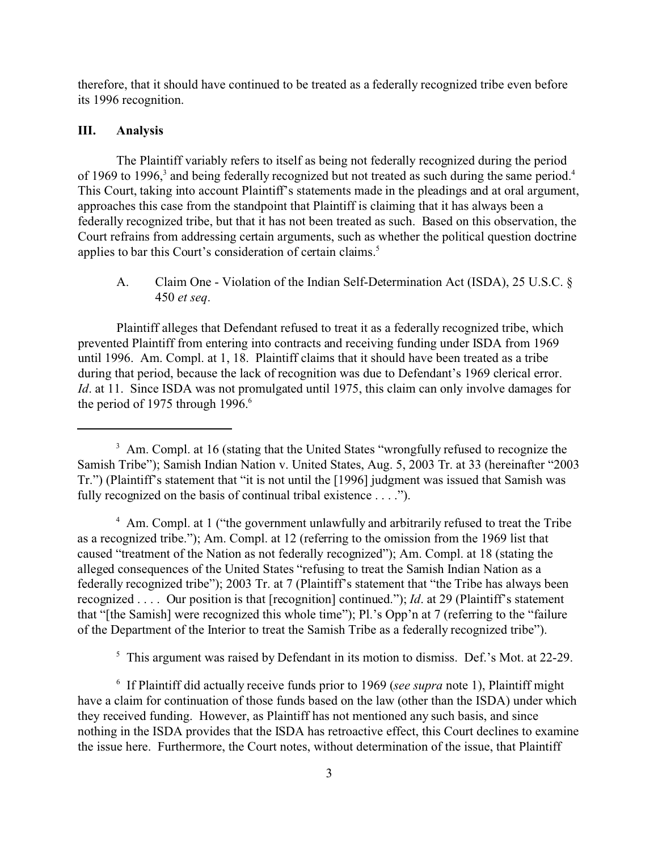therefore, that it should have continued to be treated as a federally recognized tribe even before its 1996 recognition.

## **III. Analysis**

The Plaintiff variably refers to itself as being not federally recognized during the period of 1969 to 1996,<sup>3</sup> and being federally recognized but not treated as such during the same period.<sup>4</sup> This Court, taking into account Plaintiff's statements made in the pleadings and at oral argument, approaches this case from the standpoint that Plaintiff is claiming that it has always been a federally recognized tribe, but that it has not been treated as such. Based on this observation, the Court refrains from addressing certain arguments, such as whether the political question doctrine applies to bar this Court's consideration of certain claims.<sup>5</sup>

A. Claim One - Violation of the Indian Self-Determination Act (ISDA), 25 U.S.C. § 450 *et seq*.

Plaintiff alleges that Defendant refused to treat it as a federally recognized tribe, which prevented Plaintiff from entering into contracts and receiving funding under ISDA from 1969 until 1996. Am. Compl. at 1, 18. Plaintiff claims that it should have been treated as a tribe during that period, because the lack of recognition was due to Defendant's 1969 clerical error. *Id.* at 11. Since ISDA was not promulgated until 1975, this claim can only involve damages for the period of 1975 through  $1996$ .<sup>6</sup>

<sup>4</sup> Am. Compl. at 1 ("the government unlawfully and arbitrarily refused to treat the Tribe as a recognized tribe."); Am. Compl. at 12 (referring to the omission from the 1969 list that caused "treatment of the Nation as not federally recognized"); Am. Compl. at 18 (stating the alleged consequences of the United States "refusing to treat the Samish Indian Nation as a federally recognized tribe"); 2003 Tr. at 7 (Plaintiff's statement that "the Tribe has always been recognized . . . . Our position is that [recognition] continued."); *Id*. at 29 (Plaintiff's statement that "[the Samish] were recognized this whole time"); Pl.'s Opp'n at 7 (referring to the "failure of the Department of the Interior to treat the Samish Tribe as a federally recognized tribe").

<sup>5</sup> This argument was raised by Defendant in its motion to dismiss. Def.'s Mot. at 22-29.

6 If Plaintiff did actually receive funds prior to 1969 (*see supra* note 1), Plaintiff might have a claim for continuation of those funds based on the law (other than the ISDA) under which they received funding. However, as Plaintiff has not mentioned any such basis, and since nothing in the ISDA provides that the ISDA has retroactive effect, this Court declines to examine the issue here. Furthermore, the Court notes, without determination of the issue, that Plaintiff

<sup>&</sup>lt;sup>3</sup> Am. Compl. at 16 (stating that the United States "wrongfully refused to recognize the Samish Tribe"); Samish Indian Nation v. United States, Aug. 5, 2003 Tr. at 33 (hereinafter "2003 Tr.") (Plaintiff's statement that "it is not until the [1996] judgment was issued that Samish was fully recognized on the basis of continual tribal existence . . . .").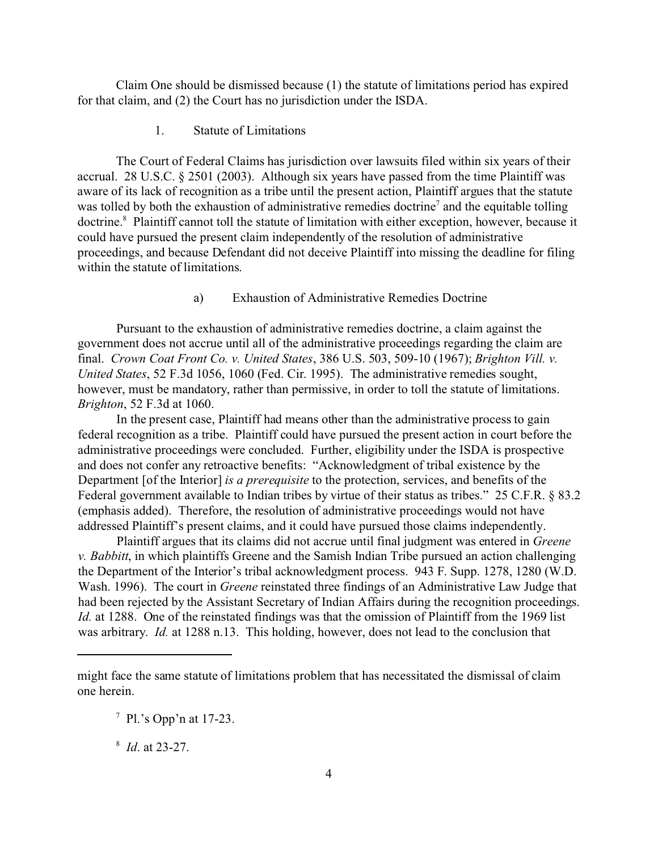Claim One should be dismissed because (1) the statute of limitations period has expired for that claim, and (2) the Court has no jurisdiction under the ISDA.

1. Statute of Limitations

The Court of Federal Claims has jurisdiction over lawsuits filed within six years of their accrual. 28 U.S.C. § 2501 (2003). Although six years have passed from the time Plaintiff was aware of its lack of recognition as a tribe until the present action, Plaintiff argues that the statute was tolled by both the exhaustion of administrative remedies doctrine<sup>7</sup> and the equitable tolling doctrine.<sup>8</sup> Plaintiff cannot toll the statute of limitation with either exception, however, because it could have pursued the present claim independently of the resolution of administrative proceedings, and because Defendant did not deceive Plaintiff into missing the deadline for filing within the statute of limitations.

#### a) Exhaustion of Administrative Remedies Doctrine

Pursuant to the exhaustion of administrative remedies doctrine, a claim against the government does not accrue until all of the administrative proceedings regarding the claim are final. *Crown Coat Front Co. v. United States*, 386 U.S. 503, 509-10 (1967); *Brighton Vill. v. United States*, 52 F.3d 1056, 1060 (Fed. Cir. 1995). The administrative remedies sought, however, must be mandatory, rather than permissive, in order to toll the statute of limitations. *Brighton*, 52 F.3d at 1060.

In the present case, Plaintiff had means other than the administrative process to gain federal recognition as a tribe. Plaintiff could have pursued the present action in court before the administrative proceedings were concluded. Further, eligibility under the ISDA is prospective and does not confer any retroactive benefits: "Acknowledgment of tribal existence by the Department [of the Interior] *is a prerequisite* to the protection, services, and benefits of the Federal government available to Indian tribes by virtue of their status as tribes." 25 C.F.R. § 83.2 (emphasis added). Therefore, the resolution of administrative proceedings would not have addressed Plaintiff's present claims, and it could have pursued those claims independently.

Plaintiff argues that its claims did not accrue until final judgment was entered in *Greene v. Babbitt*, in which plaintiffs Greene and the Samish Indian Tribe pursued an action challenging the Department of the Interior's tribal acknowledgment process. 943 F. Supp. 1278, 1280 (W.D. Wash. 1996). The court in *Greene* reinstated three findings of an Administrative Law Judge that had been rejected by the Assistant Secretary of Indian Affairs during the recognition proceedings. *Id.* at 1288. One of the reinstated findings was that the omission of Plaintiff from the 1969 list was arbitrary. *Id.* at 1288 n.13. This holding, however, does not lead to the conclusion that

8 *Id*. at 23-27.

might face the same statute of limitations problem that has necessitated the dismissal of claim one herein.

<sup>&</sup>lt;sup>7</sup> Pl.'s Opp'n at 17-23.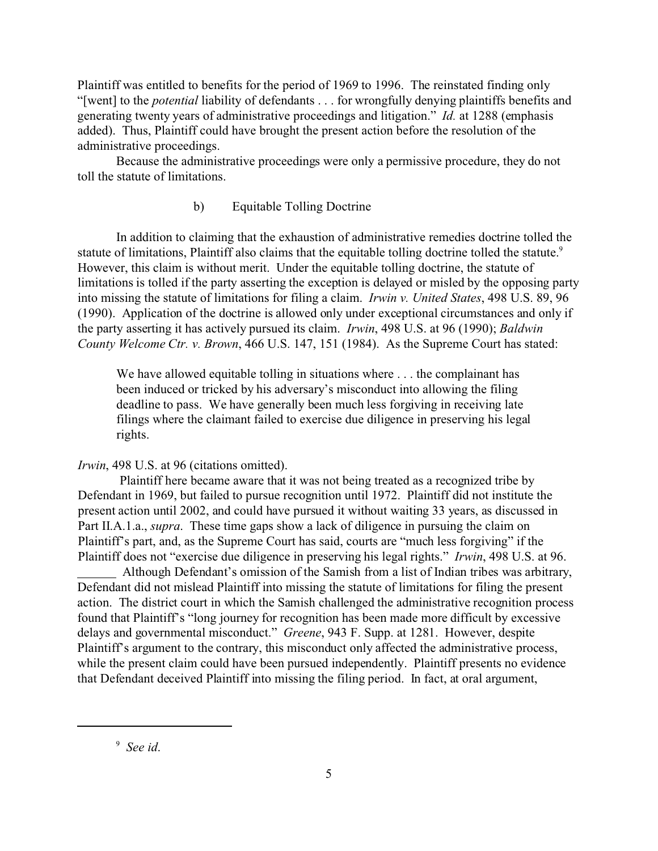Plaintiff was entitled to benefits for the period of 1969 to 1996. The reinstated finding only "[went] to the *potential* liability of defendants . . . for wrongfully denying plaintiffs benefits and generating twenty years of administrative proceedings and litigation." *Id.* at 1288 (emphasis added). Thus, Plaintiff could have brought the present action before the resolution of the administrative proceedings.

Because the administrative proceedings were only a permissive procedure, they do not toll the statute of limitations.

b) Equitable Tolling Doctrine

In addition to claiming that the exhaustion of administrative remedies doctrine tolled the statute of limitations, Plaintiff also claims that the equitable tolling doctrine tolled the statute.<sup>9</sup> However, this claim is without merit. Under the equitable tolling doctrine, the statute of limitations is tolled if the party asserting the exception is delayed or misled by the opposing party into missing the statute of limitations for filing a claim. *Irwin v. United States*, 498 U.S. 89, 96 (1990). Application of the doctrine is allowed only under exceptional circumstances and only if the party asserting it has actively pursued its claim. *Irwin*, 498 U.S. at 96 (1990); *Baldwin County Welcome Ctr. v. Brown*, 466 U.S. 147, 151 (1984). As the Supreme Court has stated:

We have allowed equitable tolling in situations where ... the complainant has been induced or tricked by his adversary's misconduct into allowing the filing deadline to pass. We have generally been much less forgiving in receiving late filings where the claimant failed to exercise due diligence in preserving his legal rights.

*Irwin*, 498 U.S. at 96 (citations omitted).

 Plaintiff here became aware that it was not being treated as a recognized tribe by Defendant in 1969, but failed to pursue recognition until 1972. Plaintiff did not institute the present action until 2002, and could have pursued it without waiting 33 years, as discussed in Part II.A.1.a., *supra*. These time gaps show a lack of diligence in pursuing the claim on Plaintiff's part, and, as the Supreme Court has said, courts are "much less forgiving" if the Plaintiff does not "exercise due diligence in preserving his legal rights." *Irwin*, 498 U.S. at 96.

 Although Defendant's omission of the Samish from a list of Indian tribes was arbitrary, Defendant did not mislead Plaintiff into missing the statute of limitations for filing the present action. The district court in which the Samish challenged the administrative recognition process found that Plaintiff's "long journey for recognition has been made more difficult by excessive delays and governmental misconduct." *Greene*, 943 F. Supp. at 1281. However, despite Plaintiff's argument to the contrary, this misconduct only affected the administrative process, while the present claim could have been pursued independently. Plaintiff presents no evidence that Defendant deceived Plaintiff into missing the filing period. In fact, at oral argument,

<sup>9</sup> *See id*.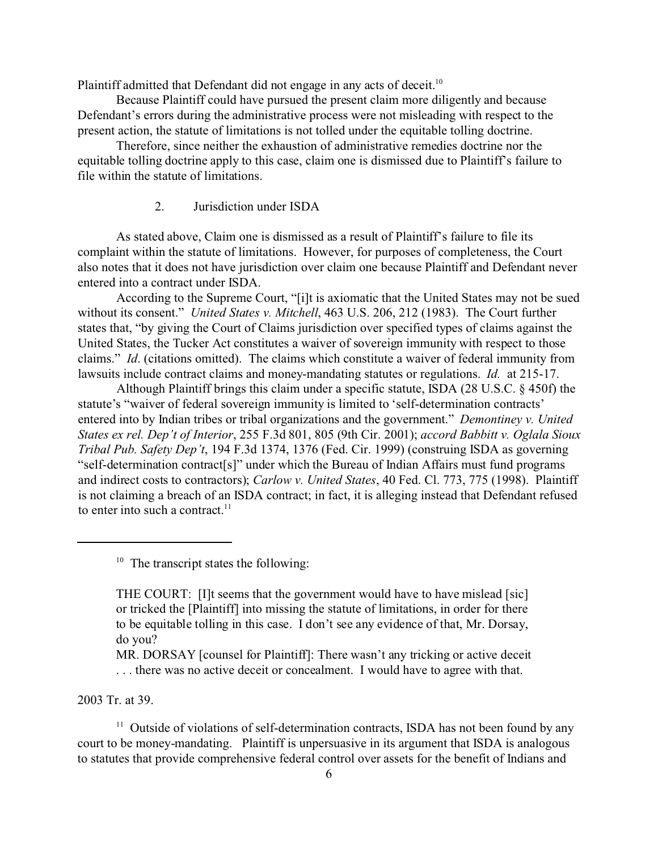Plaintiff admitted that Defendant did not engage in any acts of deceit.<sup>10</sup>

Because Plaintiff could have pursued the present claim more diligently and because Defendant's errors during the administrative process were not misleading with respect to the present action, the statute of limitations is not tolled under the equitable tolling doctrine.

Therefore, since neither the exhaustion of administrative remedies doctrine nor the equitable tolling doctrine apply to this case, claim one is dismissed due to Plaintiff's failure to file within the statute of limitations.

#### 2. Jurisdiction under ISDA

As stated above, Claim one is dismissed as a result of Plaintiff's failure to file its complaint within the statute of limitations. However, for purposes of completeness, the Court also notes that it does not have jurisdiction over claim one because Plaintiff and Defendant never entered into a contract under ISDA.

According to the Supreme Court, "[i]t is axiomatic that the United States may not be sued without its consent." *United States v. Mitchell*, 463 U.S. 206, 212 (1983). The Court further states that, "by giving the Court of Claims jurisdiction over specified types of claims against the United States, the Tucker Act constitutes a waiver of sovereign immunity with respect to those claims." *Id*. (citations omitted).The claims which constitute a waiver of federal immunity from lawsuits include contract claims and money-mandating statutes or regulations. *Id.* at 215-17.

Although Plaintiff brings this claim under a specific statute, ISDA (28 U.S.C. § 450f) the statute's "waiver of federal sovereign immunity is limited to 'self-determination contracts' entered into by Indian tribes or tribal organizations and the government." *Demontiney v. United States ex rel. Dep't of Interior*, 255 F.3d 801, 805 (9th Cir. 2001); *accord Babbitt v. Oglala Sioux Tribal Pub. Safety Dep't*, 194 F.3d 1374, 1376 (Fed. Cir. 1999) (construing ISDA as governing "self-determination contract[s]" under which the Bureau of Indian Affairs must fund programs and indirect costs to contractors); *Carlow v. United States*, 40 Fed. Cl. 773, 775 (1998). Plaintiff is not claiming a breach of an ISDA contract; in fact, it is alleging instead that Defendant refused to enter into such a contract. $11$ 

 $10$  The transcript states the following:

MR. DORSAY [counsel for Plaintiff]: There wasn't any tricking or active deceit . . . there was no active deceit or concealment. I would have to agree with that.

2003 Tr. at 39.

 $11$  Outside of violations of self-determination contracts, ISDA has not been found by any court to be money-mandating. Plaintiff is unpersuasive in its argument that ISDA is analogous to statutes that provide comprehensive federal control over assets for the benefit of Indians and

THE COURT: [I]t seems that the government would have to have mislead [sic] or tricked the [Plaintiff] into missing the statute of limitations, in order for there to be equitable tolling in this case. I don't see any evidence of that, Mr. Dorsay, do you?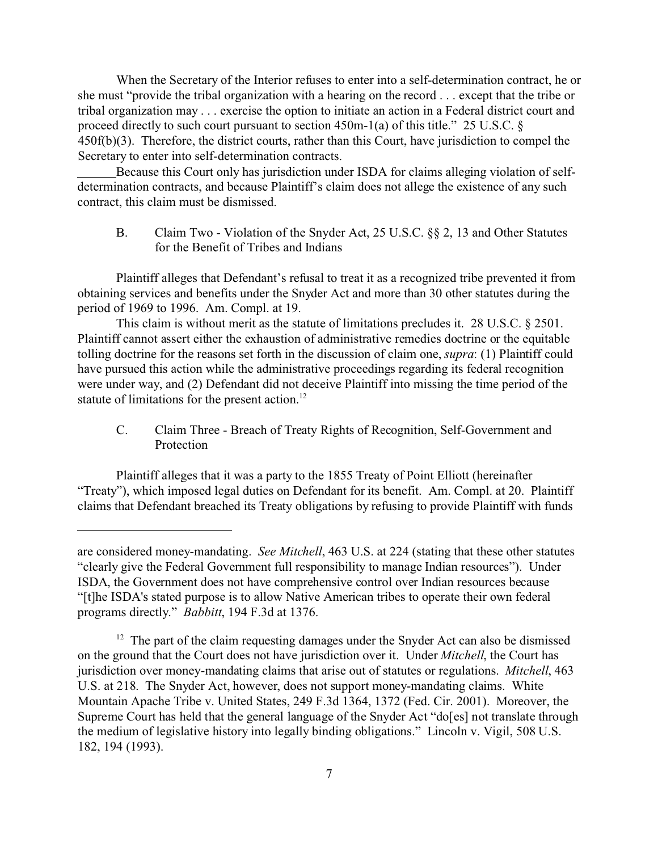When the Secretary of the Interior refuses to enter into a self-determination contract, he or she must "provide the tribal organization with a hearing on the record . . . except that the tribe or tribal organization may . . . exercise the option to initiate an action in a Federal district court and proceed directly to such court pursuant to section 450m-1(a) of this title." 25 U.S.C. § 450f(b)(3). Therefore, the district courts, rather than this Court, have jurisdiction to compel the Secretary to enter into self-determination contracts.

Because this Court only has jurisdiction under ISDA for claims alleging violation of selfdetermination contracts, and because Plaintiff's claim does not allege the existence of any such contract, this claim must be dismissed.

B. Claim Two - Violation of the Snyder Act, 25 U.S.C. §§ 2, 13 and Other Statutes for the Benefit of Tribes and Indians

Plaintiff alleges that Defendant's refusal to treat it as a recognized tribe prevented it from obtaining services and benefits under the Snyder Act and more than 30 other statutes during the period of 1969 to 1996. Am. Compl. at 19.

This claim is without merit as the statute of limitations precludes it. 28 U.S.C. § 2501. Plaintiff cannot assert either the exhaustion of administrative remedies doctrine or the equitable tolling doctrine for the reasons set forth in the discussion of claim one, *supra*: (1) Plaintiff could have pursued this action while the administrative proceedings regarding its federal recognition were under way, and (2) Defendant did not deceive Plaintiff into missing the time period of the statute of limitations for the present action.<sup>12</sup>

C. Claim Three - Breach of Treaty Rights of Recognition, Self-Government and Protection

Plaintiff alleges that it was a party to the 1855 Treaty of Point Elliott (hereinafter "Treaty"), which imposed legal duties on Defendant for its benefit. Am. Compl. at 20. Plaintiff claims that Defendant breached its Treaty obligations by refusing to provide Plaintiff with funds

are considered money-mandating. *See Mitchell*, 463 U.S. at 224 (stating that these other statutes "clearly give the Federal Government full responsibility to manage Indian resources"). Under ISDA, the Government does not have comprehensive control over Indian resources because "[t]he ISDA's stated purpose is to allow Native American tribes to operate their own federal programs directly." *Babbitt*, 194 F.3d at 1376.

<sup>&</sup>lt;sup>12</sup> The part of the claim requesting damages under the Snyder Act can also be dismissed on the ground that the Court does not have jurisdiction over it. Under *Mitchell*, the Court has jurisdiction over money-mandating claims that arise out of statutes or regulations. *Mitchell*, 463 U.S. at 218. The Snyder Act, however, does not support money-mandating claims. White Mountain Apache Tribe v. United States, 249 F.3d 1364, 1372 (Fed. Cir. 2001). Moreover, the Supreme Court has held that the general language of the Snyder Act "do[es] not translate through the medium of legislative history into legally binding obligations." Lincoln v. Vigil, 508 U.S. 182, 194 (1993).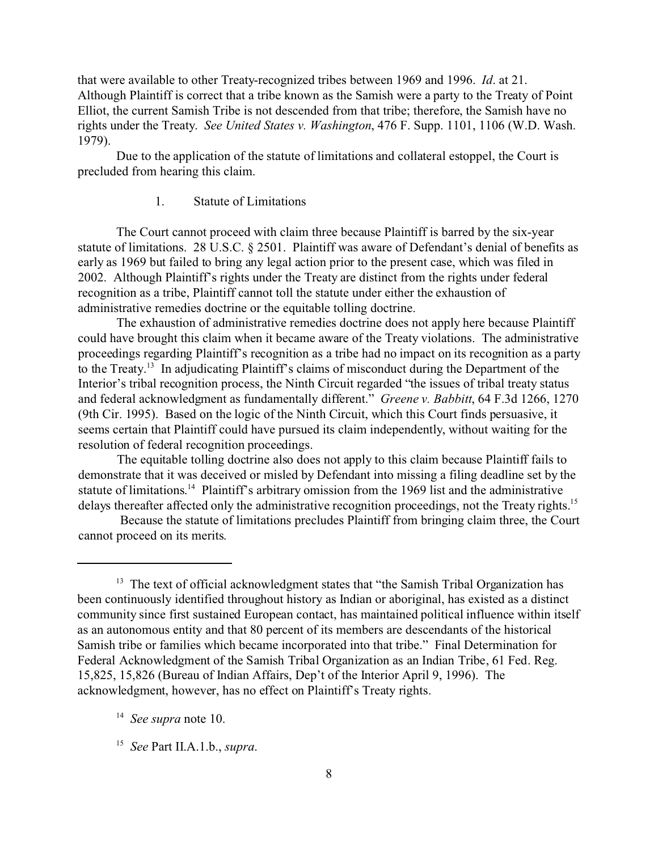that were available to other Treaty-recognized tribes between 1969 and 1996. *Id*. at 21. Although Plaintiff is correct that a tribe known as the Samish were a party to the Treaty of Point Elliot, the current Samish Tribe is not descended from that tribe; therefore, the Samish have no rights under the Treaty. *See United States v. Washington*, 476 F. Supp. 1101, 1106 (W.D. Wash. 1979).

Due to the application of the statute of limitations and collateral estoppel, the Court is precluded from hearing this claim.

## 1. Statute of Limitations

The Court cannot proceed with claim three because Plaintiff is barred by the six-year statute of limitations. 28 U.S.C. § 2501. Plaintiff was aware of Defendant's denial of benefits as early as 1969 but failed to bring any legal action prior to the present case, which was filed in 2002. Although Plaintiff's rights under the Treaty are distinct from the rights under federal recognition as a tribe, Plaintiff cannot toll the statute under either the exhaustion of administrative remedies doctrine or the equitable tolling doctrine.

The exhaustion of administrative remedies doctrine does not apply here because Plaintiff could have brought this claim when it became aware of the Treaty violations. The administrative proceedings regarding Plaintiff's recognition as a tribe had no impact on its recognition as a party to the Treaty.<sup>13</sup> In adjudicating Plaintiff's claims of misconduct during the Department of the Interior's tribal recognition process, the Ninth Circuit regarded "the issues of tribal treaty status and federal acknowledgment as fundamentally different." *Greene v. Babbitt*, 64 F.3d 1266, 1270 (9th Cir. 1995). Based on the logic of the Ninth Circuit, which this Court finds persuasive, it seems certain that Plaintiff could have pursued its claim independently, without waiting for the resolution of federal recognition proceedings.

The equitable tolling doctrine also does not apply to this claim because Plaintiff fails to demonstrate that it was deceived or misled by Defendant into missing a filing deadline set by the statute of limitations.<sup>14</sup> Plaintiff's arbitrary omission from the 1969 list and the administrative delays thereafter affected only the administrative recognition proceedings, not the Treaty rights.<sup>15</sup>

 Because the statute of limitations precludes Plaintiff from bringing claim three, the Court cannot proceed on its merits.

 $13$  The text of official acknowledgment states that "the Samish Tribal Organization has been continuously identified throughout history as Indian or aboriginal, has existed as a distinct community since first sustained European contact, has maintained political influence within itself as an autonomous entity and that 80 percent of its members are descendants of the historical Samish tribe or families which became incorporated into that tribe." Final Determination for Federal Acknowledgment of the Samish Tribal Organization as an Indian Tribe, 61 Fed. Reg. 15,825, 15,826 (Bureau of Indian Affairs, Dep't of the Interior April 9, 1996). The acknowledgment, however, has no effect on Plaintiff's Treaty rights.

<sup>14</sup> *See supra* note 10.

<sup>15</sup> *See* Part II.A.1.b., *supra*.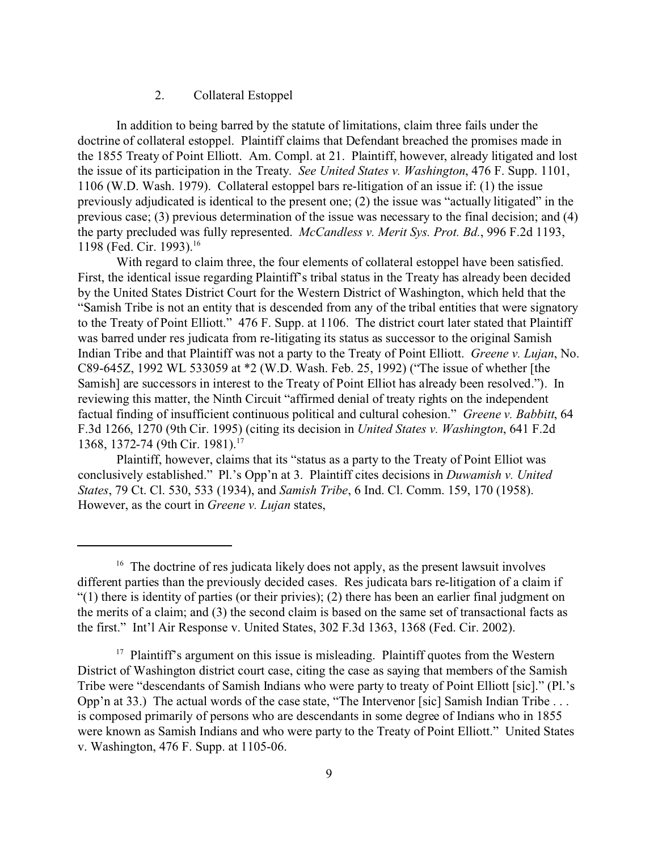#### 2. Collateral Estoppel

In addition to being barred by the statute of limitations, claim three fails under the doctrine of collateral estoppel. Plaintiff claims that Defendant breached the promises made in the 1855 Treaty of Point Elliott. Am. Compl. at 21. Plaintiff, however, already litigated and lost the issue of its participation in the Treaty. *See United States v. Washington*, 476 F. Supp. 1101, 1106 (W.D. Wash. 1979). Collateral estoppel bars re-litigation of an issue if: (1) the issue previously adjudicated is identical to the present one; (2) the issue was "actually litigated" in the previous case; (3) previous determination of the issue was necessary to the final decision; and (4) the party precluded was fully represented. *McCandless v. Merit Sys. Prot. Bd.*, 996 F.2d 1193, 1198 (Fed. Cir. 1993).<sup>16</sup>

With regard to claim three, the four elements of collateral estoppel have been satisfied. First, the identical issue regarding Plaintiff's tribal status in the Treaty has already been decided by the United States District Court for the Western District of Washington, which held that the "Samish Tribe is not an entity that is descended from any of the tribal entities that were signatory to the Treaty of Point Elliott." 476 F. Supp. at 1106. The district court later stated that Plaintiff was barred under res judicata from re-litigating its status as successor to the original Samish Indian Tribe and that Plaintiff was not a party to the Treaty of Point Elliott. *Greene v. Lujan*, No. C89-645Z, 1992 WL 533059 at \*2 (W.D. Wash. Feb. 25, 1992) ("The issue of whether [the Samish] are successors in interest to the Treaty of Point Elliot has already been resolved."). In reviewing this matter, the Ninth Circuit "affirmed denial of treaty rights on the independent factual finding of insufficient continuous political and cultural cohesion." *Greene v. Babbitt*, 64 F.3d 1266, 1270 (9th Cir. 1995) (citing its decision in *United States v. Washington*, 641 F.2d 1368, 1372-74 (9th Cir. 1981).<sup>17</sup>

Plaintiff, however, claims that its "status as a party to the Treaty of Point Elliot was conclusively established." Pl.'s Opp'n at 3. Plaintiff cites decisions in *Duwamish v. United States*, 79 Ct. Cl. 530, 533 (1934), and *Samish Tribe*, 6 Ind. Cl. Comm. 159, 170 (1958). However, as the court in *Greene v. Lujan* states,

 $16$  The doctrine of res judicata likely does not apply, as the present lawsuit involves different parties than the previously decided cases. Res judicata bars re-litigation of a claim if "(1) there is identity of parties (or their privies); (2) there has been an earlier final judgment on the merits of a claim; and (3) the second claim is based on the same set of transactional facts as the first." Int'l Air Response v. United States, 302 F.3d 1363, 1368 (Fed. Cir. 2002).

 $17$  Plaintiff's argument on this issue is misleading. Plaintiff quotes from the Western District of Washington district court case, citing the case as saying that members of the Samish Tribe were "descendants of Samish Indians who were party to treaty of Point Elliott [sic]." (Pl.'s Opp'n at 33.) The actual words of the case state, "The Intervenor [sic] Samish Indian Tribe ... is composed primarily of persons who are descendants in some degree of Indians who in 1855 were known as Samish Indians and who were party to the Treaty of Point Elliott." United States v. Washington, 476 F. Supp. at 1105-06.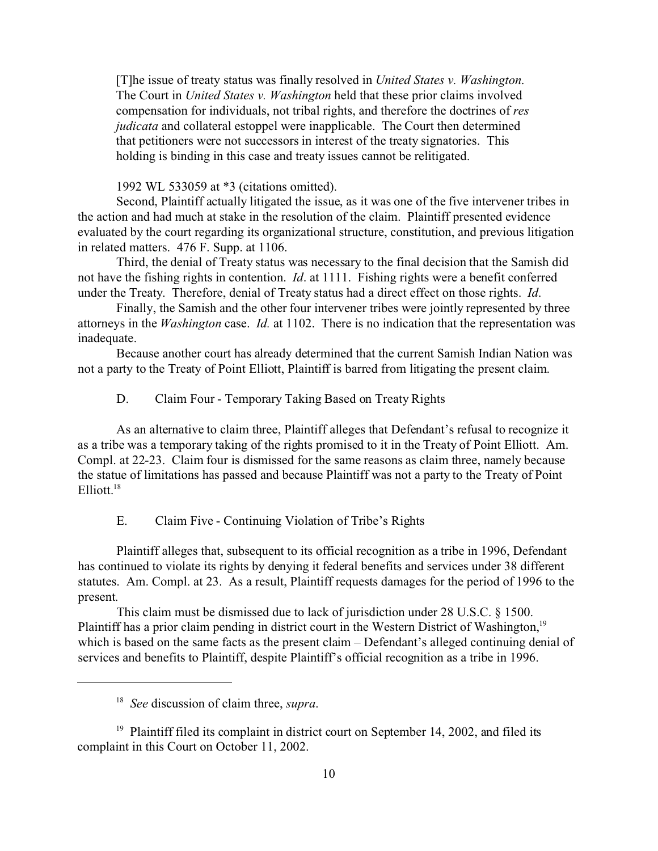[T]he issue of treaty status was finally resolved in *United States v. Washington*. The Court in *United States v. Washington* held that these prior claims involved compensation for individuals, not tribal rights, and therefore the doctrines of *res judicata* and collateral estoppel were inapplicable. The Court then determined that petitioners were not successors in interest of the treaty signatories. This holding is binding in this case and treaty issues cannot be relitigated.

1992 WL 533059 at \*3 (citations omitted).

Second, Plaintiff actually litigated the issue, as it was one of the five intervener tribes in the action and had much at stake in the resolution of the claim. Plaintiff presented evidence evaluated by the court regarding its organizational structure, constitution, and previous litigation in related matters. 476 F. Supp. at 1106.

Third, the denial of Treaty status was necessary to the final decision that the Samish did not have the fishing rights in contention. *Id*. at 1111. Fishing rights were a benefit conferred under the Treaty. Therefore, denial of Treaty status had a direct effect on those rights. *Id*.

Finally, the Samish and the other four intervener tribes were jointly represented by three attorneys in the *Washington* case. *Id.* at 1102. There is no indication that the representation was inadequate.

Because another court has already determined that the current Samish Indian Nation was not a party to the Treaty of Point Elliott, Plaintiff is barred from litigating the present claim.

D. Claim Four - Temporary Taking Based on Treaty Rights

As an alternative to claim three, Plaintiff alleges that Defendant's refusal to recognize it as a tribe was a temporary taking of the rights promised to it in the Treaty of Point Elliott. Am. Compl. at 22-23. Claim four is dismissed for the same reasons as claim three, namely because the statue of limitations has passed and because Plaintiff was not a party to the Treaty of Point Elliott.<sup>18</sup>

E. Claim Five - Continuing Violation of Tribe's Rights

Plaintiff alleges that, subsequent to its official recognition as a tribe in 1996, Defendant has continued to violate its rights by denying it federal benefits and services under 38 different statutes. Am. Compl. at 23. As a result, Plaintiff requests damages for the period of 1996 to the present.

This claim must be dismissed due to lack of jurisdiction under 28 U.S.C. § 1500. Plaintiff has a prior claim pending in district court in the Western District of Washington,<sup>19</sup> which is based on the same facts as the present claim – Defendant's alleged continuing denial of services and benefits to Plaintiff, despite Plaintiff's official recognition as a tribe in 1996.

<sup>18</sup> *See* discussion of claim three, *supra*.

<sup>&</sup>lt;sup>19</sup> Plaintiff filed its complaint in district court on September 14, 2002, and filed its complaint in this Court on October 11, 2002.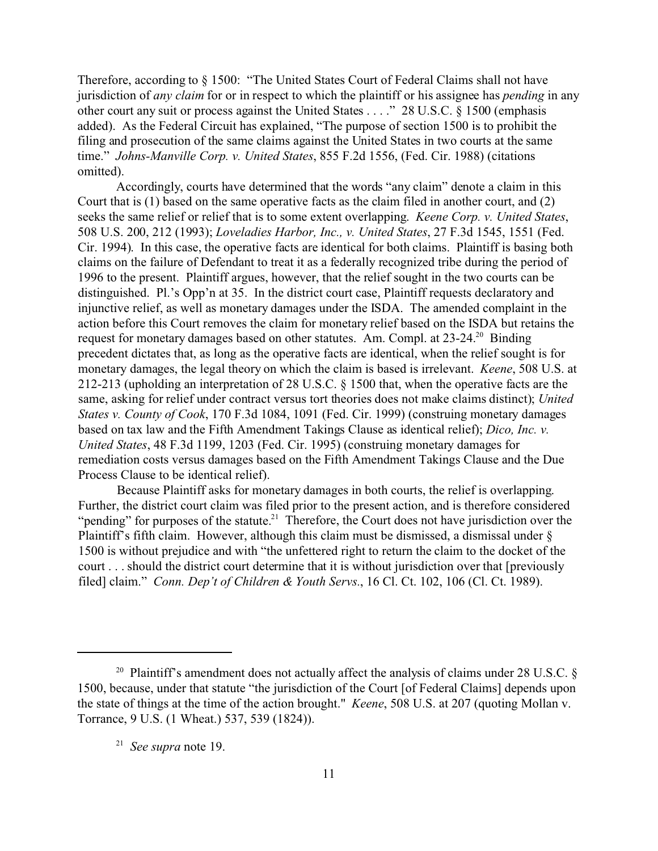Therefore, according to § 1500: "The United States Court of Federal Claims shall not have jurisdiction of *any claim* for or in respect to which the plaintiff or his assignee has *pending* in any other court any suit or process against the United States . . . ." 28 U.S.C. § 1500 (emphasis added). As the Federal Circuit has explained, "The purpose of section 1500 is to prohibit the filing and prosecution of the same claims against the United States in two courts at the same time." *Johns-Manville Corp. v. United States*, 855 F.2d 1556, (Fed. Cir. 1988) (citations omitted).

Accordingly, courts have determined that the words "any claim" denote a claim in this Court that is (1) based on the same operative facts as the claim filed in another court, and (2) seeks the same relief or relief that is to some extent overlapping. *Keene Corp. v. United States*, 508 U.S. 200, 212 (1993); *Loveladies Harbor, Inc., v. United States*, 27 F.3d 1545, 1551 (Fed. Cir. 1994). In this case, the operative facts are identical for both claims. Plaintiff is basing both claims on the failure of Defendant to treat it as a federally recognized tribe during the period of 1996 to the present. Plaintiff argues, however, that the relief sought in the two courts can be distinguished. Pl.'s Opp'n at 35. In the district court case, Plaintiff requests declaratory and injunctive relief, as well as monetary damages under the ISDA. The amended complaint in the action before this Court removes the claim for monetary relief based on the ISDA but retains the request for monetary damages based on other statutes. Am. Compl. at 23-24.<sup>20</sup> Binding precedent dictates that, as long as the operative facts are identical, when the relief sought is for monetary damages, the legal theory on which the claim is based is irrelevant. *Keene*, 508 U.S. at 212-213 (upholding an interpretation of 28 U.S.C. § 1500 that, when the operative facts are the same, asking for relief under contract versus tort theories does not make claims distinct); *United States v. County of Cook*, 170 F.3d 1084, 1091 (Fed. Cir. 1999) (construing monetary damages based on tax law and the Fifth Amendment Takings Clause as identical relief); *Dico, Inc. v. United States*, 48 F.3d 1199, 1203 (Fed. Cir. 1995) (construing monetary damages for remediation costs versus damages based on the Fifth Amendment Takings Clause and the Due Process Clause to be identical relief).

Because Plaintiff asks for monetary damages in both courts, the relief is overlapping. Further, the district court claim was filed prior to the present action, and is therefore considered "pending" for purposes of the statute.<sup>21</sup> Therefore, the Court does not have jurisdiction over the Plaintiff's fifth claim. However, although this claim must be dismissed, a dismissal under § 1500 is without prejudice and with "the unfettered right to return the claim to the docket of the court . . . should the district court determine that it is without jurisdiction over that [previously filed] claim." *Conn. Dep't of Children & Youth Servs.*, 16 Cl. Ct. 102, 106 (Cl. Ct. 1989).

<sup>&</sup>lt;sup>20</sup> Plaintiff's amendment does not actually affect the analysis of claims under 28 U.S.C.  $\S$ 1500, because, under that statute "the jurisdiction of the Court [of Federal Claims] depends upon the state of things at the time of the action brought." *Keene*, 508 U.S. at 207 (quoting Mollan v. Torrance, 9 U.S. (1 Wheat.) 537, 539 (1824)).

<sup>21</sup> *See supra* note 19.